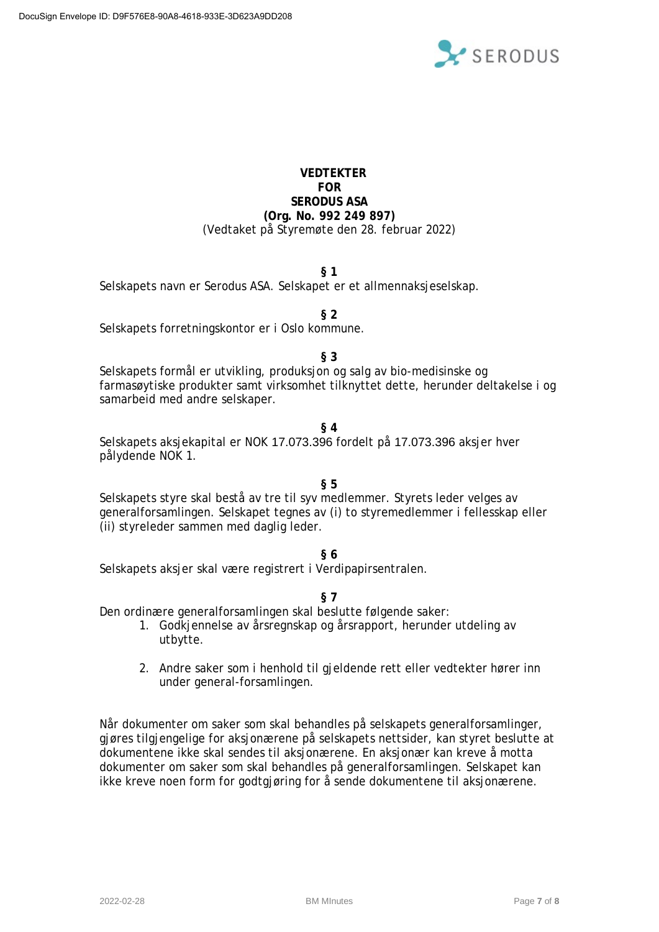

# **VEDTEKTER FOR SERODUS ASA (Org. No. 992 249 897)** (Vedtaket på Styremøte den 28. februar 2022)

#### **§ 1**

Selskapets navn er Serodus ASA. Selskapet er et allmennaksjeselskap.

**§ 2**

Selskapets forretningskontor er i Oslo kommune.

**§ 3**

Selskapets formål er utvikling, produksjon og salg av bio-medisinske og farmasøytiske produkter samt virksomhet tilknyttet dette, herunder deltakelse i og samarbeid med andre selskaper.

#### **§ 4**

Selskapets aksjekapital er NOK 17.073.396 fordelt på 17.073.396 aksjer hver pålydende NOK 1.

# **§ 5**

Selskapets styre skal bestå av tre til syv medlemmer. Styrets leder velges av generalforsamlingen. Selskapet tegnes av (i) to styremedlemmer i fellesskap eller (ii) styreleder sammen med daglig leder.

#### **§ 6**

Selskapets aksjer skal være registrert i Verdipapirsentralen.

**§ 7**

Den ordinære generalforsamlingen skal beslutte følgende saker:

- 1. Godkjennelse av årsregnskap og årsrapport, herunder utdeling av utbytte.
- 2. Andre saker som i henhold til gjeldende rett eller vedtekter hører inn under general-forsamlingen.

Når dokumenter om saker som skal behandles på selskapets generalforsamlinger, gjøres tilgjengelige for aksjonærene på selskapets nettsider, kan styret beslutte at dokumentene ikke skal sendes til aksjonærene. En aksjonær kan kreve å motta dokumenter om saker som skal behandles på generalforsamlingen. Selskapet kan ikke kreve noen form for godtgjøring for å sende dokumentene til aksjonærene*.*